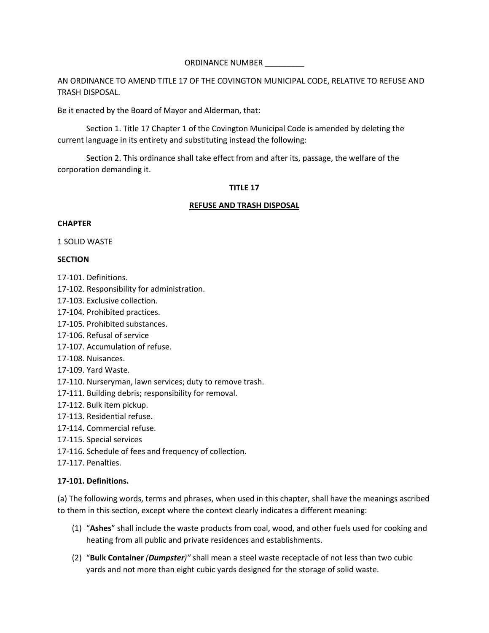AN ORDINANCE TO AMEND TITLE 17 OF THE COVINGTON MUNICIPAL CODE, RELATIVE TO REFUSE AND TRASH DISPOSAL.

Be it enacted by the Board of Mayor and Alderman, that:

Section 1. Title 17 Chapter 1 of the Covington Municipal Code is amended by deleting the current language in its entirety and substituting instead the following:

Section 2. This ordinance shall take effect from and after its, passage, the welfare of the corporation demanding it.

# **TITLE 17**

### **REFUSE AND TRASH DISPOSAL**

### **CHAPTER**

1 SOLID WASTE

# **SECTION**

- 17-101. Definitions.
- 17-102. Responsibility for administration.
- 17-103. Exclusive collection.
- 17-104. Prohibited practices.
- 17-105. Prohibited substances.
- 17-106. Refusal of service
- 17-107. Accumulation of refuse.
- 17-108. Nuisances.
- 17-109. Yard Waste.
- 17-110. Nurseryman, lawn services; duty to remove trash.
- 17-111. Building debris; responsibility for removal.
- 17-112. Bulk item pickup.
- 17-113. Residential refuse.
- 17-114. Commercial refuse.
- 17-115. Special services
- 17-116. Schedule of fees and frequency of collection.
- 17-117. Penalties.

### **17-101. Definitions.**

(a) The following words, terms and phrases, when used in this chapter, shall have the meanings ascribed to them in this section, except where the context clearly indicates a different meaning:

- (1) "**Ashes**" shall include the waste products from coal, wood, and other fuels used for cooking and heating from all public and private residences and establishments.
- (2) "**Bulk Container** *(Dumpster)"* shall mean a steel waste receptacle of not less than two cubic yards and not more than eight cubic yards designed for the storage of solid waste.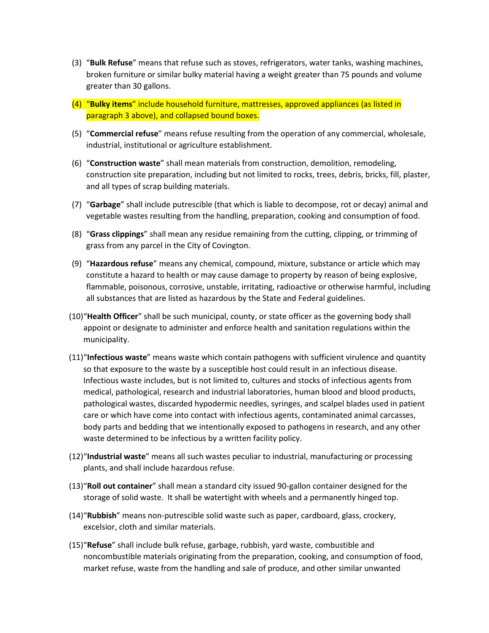- (3) "**Bulk Refuse**" means that refuse such as stoves, refrigerators, water tanks, washing machines, broken furniture or similar bulky material having a weight greater than 75 pounds and volume greater than 30 gallons.
- (4) "**Bulky items**" include household furniture, mattresses, approved appliances (as listed in paragraph 3 above), and collapsed bound boxes.
- (5) "**Commercial refuse**" means refuse resulting from the operation of any commercial, wholesale, industrial, institutional or agriculture establishment.
- (6) "**Construction waste**" shall mean materials from construction, demolition, remodeling, construction site preparation, including but not limited to rocks, trees, debris, bricks, fill, plaster, and all types of scrap building materials.
- (7) "**Garbage**" shall include putrescible (that which is liable to decompose, rot or decay) animal and vegetable wastes resulting from the handling, preparation, cooking and consumption of food.
- (8) "**Grass clippings**" shall mean any residue remaining from the cutting, clipping, or trimming of grass from any parcel in the City of Covington.
- (9) "**Hazardous refuse**" means any chemical, compound, mixture, substance or article which may constitute a hazard to health or may cause damage to property by reason of being explosive, flammable, poisonous, corrosive, unstable, irritating, radioactive or otherwise harmful, including all substances that are listed as hazardous by the State and Federal guidelines.
- (10)"**Health Officer**" shall be such municipal, county, or state officer as the governing body shall appoint or designate to administer and enforce health and sanitation regulations within the municipality.
- (11)"**Infectious waste**" means waste which contain pathogens with sufficient virulence and quantity so that exposure to the waste by a susceptible host could result in an infectious disease. Infectious waste includes, but is not limited to, cultures and stocks of infectious agents from medical, pathological, research and industrial laboratories, human blood and blood products, pathological wastes, discarded hypodermic needles, syringes, and scalpel blades used in patient care or which have come into contact with infectious agents, contaminated animal carcasses, body parts and bedding that we intentionally exposed to pathogens in research, and any other waste determined to be infectious by a written facility policy.
- (12)"**Industrial waste**" means all such wastes peculiar to industrial, manufacturing or processing plants, and shall include hazardous refuse.
- (13)"**Roll out container**" shall mean a standard city issued 90-gallon container designed for the storage of solid waste. It shall be watertight with wheels and a permanently hinged top.
- (14)"**Rubbish**" means non-putrescible solid waste such as paper, cardboard, glass, crockery, excelsior, cloth and similar materials.
- (15)"**Refuse**" shall include bulk refuse, garbage, rubbish, yard waste, combustible and noncombustible materials originating from the preparation, cooking, and consumption of food, market refuse, waste from the handling and sale of produce, and other similar unwanted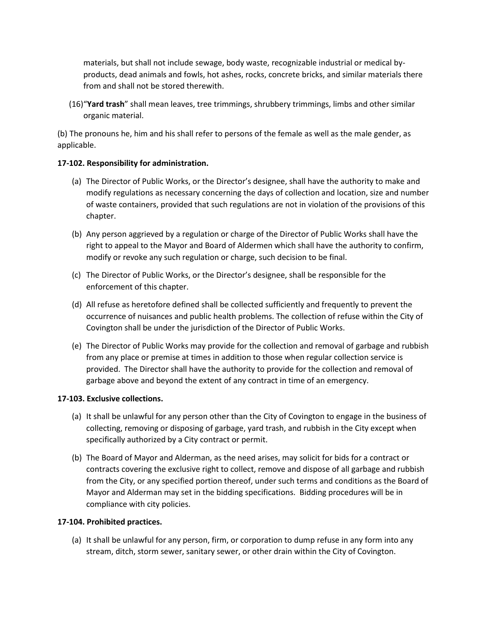materials, but shall not include sewage, body waste, recognizable industrial or medical byproducts, dead animals and fowls, hot ashes, rocks, concrete bricks, and similar materials there from and shall not be stored therewith.

(16)"**Yard trash**" shall mean leaves, tree trimmings, shrubbery trimmings, limbs and other similar organic material.

(b) The pronouns he, him and his shall refer to persons of the female as well as the male gender, as applicable.

# **17-102. Responsibility for administration.**

- (a) The Director of Public Works, or the Director's designee, shall have the authority to make and modify regulations as necessary concerning the days of collection and location, size and number of waste containers, provided that such regulations are not in violation of the provisions of this chapter.
- (b) Any person aggrieved by a regulation or charge of the Director of Public Works shall have the right to appeal to the Mayor and Board of Aldermen which shall have the authority to confirm, modify or revoke any such regulation or charge, such decision to be final.
- (c) The Director of Public Works, or the Director's designee, shall be responsible for the enforcement of this chapter.
- (d) All refuse as heretofore defined shall be collected sufficiently and frequently to prevent the occurrence of nuisances and public health problems. The collection of refuse within the City of Covington shall be under the jurisdiction of the Director of Public Works.
- (e) The Director of Public Works may provide for the collection and removal of garbage and rubbish from any place or premise at times in addition to those when regular collection service is provided. The Director shall have the authority to provide for the collection and removal of garbage above and beyond the extent of any contract in time of an emergency.

### **17-103. Exclusive collections.**

- (a) It shall be unlawful for any person other than the City of Covington to engage in the business of collecting, removing or disposing of garbage, yard trash, and rubbish in the City except when specifically authorized by a City contract or permit.
- (b) The Board of Mayor and Alderman, as the need arises, may solicit for bids for a contract or contracts covering the exclusive right to collect, remove and dispose of all garbage and rubbish from the City, or any specified portion thereof, under such terms and conditions as the Board of Mayor and Alderman may set in the bidding specifications. Bidding procedures will be in compliance with city policies.

# **17-104. Prohibited practices.**

(a) It shall be unlawful for any person, firm, or corporation to dump refuse in any form into any stream, ditch, storm sewer, sanitary sewer, or other drain within the City of Covington.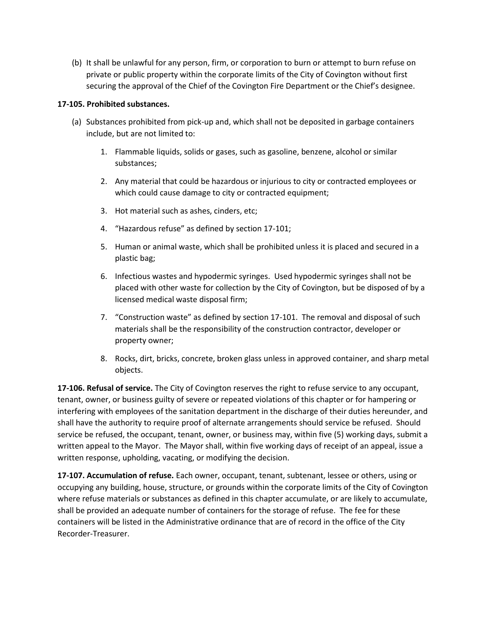(b) It shall be unlawful for any person, firm, or corporation to burn or attempt to burn refuse on private or public property within the corporate limits of the City of Covington without first securing the approval of the Chief of the Covington Fire Department or the Chief's designee.

## **17-105. Prohibited substances.**

- (a) Substances prohibited from pick-up and, which shall not be deposited in garbage containers include, but are not limited to:
	- 1. Flammable liquids, solids or gases, such as gasoline, benzene, alcohol or similar substances;
	- 2. Any material that could be hazardous or injurious to city or contracted employees or which could cause damage to city or contracted equipment;
	- 3. Hot material such as ashes, cinders, etc;
	- 4. "Hazardous refuse" as defined by section 17-101;
	- 5. Human or animal waste, which shall be prohibited unless it is placed and secured in a plastic bag;
	- 6. Infectious wastes and hypodermic syringes. Used hypodermic syringes shall not be placed with other waste for collection by the City of Covington, but be disposed of by a licensed medical waste disposal firm;
	- 7. "Construction waste" as defined by section 17-101. The removal and disposal of such materials shall be the responsibility of the construction contractor, developer or property owner;
	- 8. Rocks, dirt, bricks, concrete, broken glass unless in approved container, and sharp metal objects.

**17-106. Refusal of service.** The City of Covington reserves the right to refuse service to any occupant, tenant, owner, or business guilty of severe or repeated violations of this chapter or for hampering or interfering with employees of the sanitation department in the discharge of their duties hereunder, and shall have the authority to require proof of alternate arrangements should service be refused. Should service be refused, the occupant, tenant, owner, or business may, within five (5) working days, submit a written appeal to the Mayor. The Mayor shall, within five working days of receipt of an appeal, issue a written response, upholding, vacating, or modifying the decision.

**17-107. Accumulation of refuse.** Each owner, occupant, tenant, subtenant, lessee or others, using or occupying any building, house, structure, or grounds within the corporate limits of the City of Covington where refuse materials or substances as defined in this chapter accumulate, or are likely to accumulate, shall be provided an adequate number of containers for the storage of refuse. The fee for these containers will be listed in the Administrative ordinance that are of record in the office of the City Recorder-Treasurer.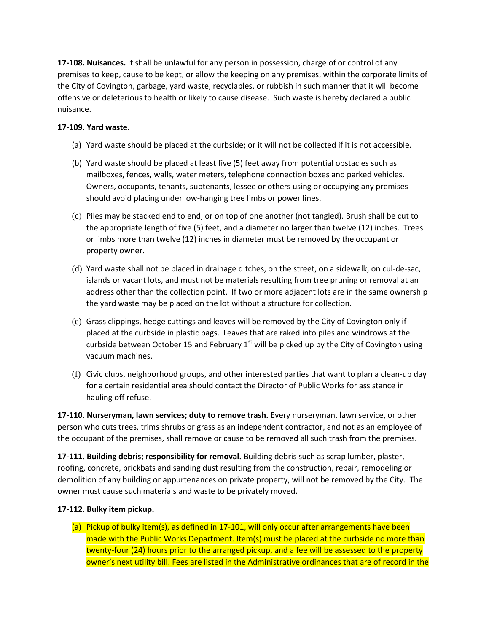**17-108. Nuisances.** It shall be unlawful for any person in possession, charge of or control of any premises to keep, cause to be kept, or allow the keeping on any premises, within the corporate limits of the City of Covington, garbage, yard waste, recyclables, or rubbish in such manner that it will become offensive or deleterious to health or likely to cause disease. Such waste is hereby declared a public nuisance.

# **17-109. Yard waste.**

- (a) Yard waste should be placed at the curbside; or it will not be collected if it is not accessible.
- (b) Yard waste should be placed at least five (5) feet away from potential obstacles such as mailboxes, fences, walls, water meters, telephone connection boxes and parked vehicles. Owners, occupants, tenants, subtenants, lessee or others using or occupying any premises should avoid placing under low-hanging tree limbs or power lines.
- (c) Piles may be stacked end to end, or on top of one another (not tangled). Brush shall be cut to the appropriate length of five (5) feet, and a diameter no larger than twelve (12) inches. Trees or limbs more than twelve (12) inches in diameter must be removed by the occupant or property owner.
- (d) Yard waste shall not be placed in drainage ditches, on the street, on a sidewalk, on cul-de-sac, islands or vacant lots, and must not be materials resulting from tree pruning or removal at an address other than the collection point. If two or more adjacent lots are in the same ownership the yard waste may be placed on the lot without a structure for collection.
- (e) Grass clippings, hedge cuttings and leaves will be removed by the City of Covington only if placed at the curbside in plastic bags. Leaves that are raked into piles and windrows at the curbside between October 15 and February  $1<sup>st</sup>$  will be picked up by the City of Covington using vacuum machines.
- (f) Civic clubs, neighborhood groups, and other interested parties that want to plan a clean-up day for a certain residential area should contact the Director of Public Works for assistance in hauling off refuse.

**17-110. Nurseryman, lawn services; duty to remove trash.** Every nurseryman, lawn service, or other person who cuts trees, trims shrubs or grass as an independent contractor, and not as an employee of the occupant of the premises, shall remove or cause to be removed all such trash from the premises.

**17-111. Building debris; responsibility for removal.** Building debris such as scrap lumber, plaster, roofing, concrete, brickbats and sanding dust resulting from the construction, repair, remodeling or demolition of any building or appurtenances on private property, will not be removed by the City. The owner must cause such materials and waste to be privately moved.

# **17-112. Bulky item pickup.**

(a) Pickup of bulky item(s), as defined in 17-101, will only occur after arrangements have been made with the Public Works Department. Item(s) must be placed at the curbside no more than twenty-four (24) hours prior to the arranged pickup, and a fee will be assessed to the property owner's next utility bill. Fees are listed in the Administrative ordinances that are of record in the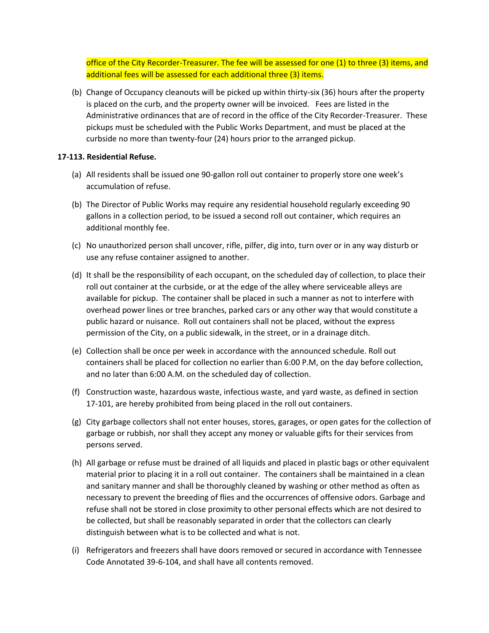office of the City Recorder-Treasurer. The fee will be assessed for one (1) to three (3) items, and additional fees will be assessed for each additional three (3) items.

(b) Change of Occupancy cleanouts will be picked up within thirty-six (36) hours after the property is placed on the curb, and the property owner will be invoiced. Fees are listed in the Administrative ordinances that are of record in the office of the City Recorder-Treasurer. These pickups must be scheduled with the Public Works Department, and must be placed at the curbside no more than twenty-four (24) hours prior to the arranged pickup.

## **17-113. Residential Refuse.**

- (a) All residents shall be issued one 90-gallon roll out container to properly store one week's accumulation of refuse.
- (b) The Director of Public Works may require any residential household regularly exceeding 90 gallons in a collection period, to be issued a second roll out container, which requires an additional monthly fee.
- (c) No unauthorized person shall uncover, rifle, pilfer, dig into, turn over or in any way disturb or use any refuse container assigned to another.
- (d) It shall be the responsibility of each occupant, on the scheduled day of collection, to place their roll out container at the curbside, or at the edge of the alley where serviceable alleys are available for pickup. The container shall be placed in such a manner as not to interfere with overhead power lines or tree branches, parked cars or any other way that would constitute a public hazard or nuisance. Roll out containers shall not be placed, without the express permission of the City, on a public sidewalk, in the street, or in a drainage ditch.
- (e) Collection shall be once per week in accordance with the announced schedule. Roll out containers shall be placed for collection no earlier than 6:00 P.M, on the day before collection, and no later than 6:00 A.M. on the scheduled day of collection.
- (f) Construction waste, hazardous waste, infectious waste, and yard waste, as defined in section 17-101, are hereby prohibited from being placed in the roll out containers.
- (g) City garbage collectors shall not enter houses, stores, garages, or open gates for the collection of garbage or rubbish, nor shall they accept any money or valuable gifts for their services from persons served.
- (h) All garbage or refuse must be drained of all liquids and placed in plastic bags or other equivalent material prior to placing it in a roll out container. The containers shall be maintained in a clean and sanitary manner and shall be thoroughly cleaned by washing or other method as often as necessary to prevent the breeding of flies and the occurrences of offensive odors. Garbage and refuse shall not be stored in close proximity to other personal effects which are not desired to be collected, but shall be reasonably separated in order that the collectors can clearly distinguish between what is to be collected and what is not.
- (i) Refrigerators and freezers shall have doors removed or secured in accordance with Tennessee Code Annotated 39-6-104, and shall have all contents removed.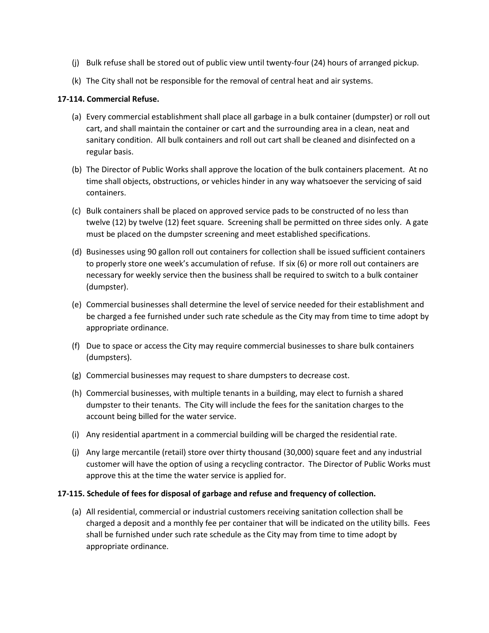- (j) Bulk refuse shall be stored out of public view until twenty-four (24) hours of arranged pickup.
- (k) The City shall not be responsible for the removal of central heat and air systems.

## **17-114. Commercial Refuse.**

- (a) Every commercial establishment shall place all garbage in a bulk container (dumpster) or roll out cart, and shall maintain the container or cart and the surrounding area in a clean, neat and sanitary condition. All bulk containers and roll out cart shall be cleaned and disinfected on a regular basis.
- (b) The Director of Public Works shall approve the location of the bulk containers placement. At no time shall objects, obstructions, or vehicles hinder in any way whatsoever the servicing of said containers.
- (c) Bulk containers shall be placed on approved service pads to be constructed of no less than twelve (12) by twelve (12) feet square. Screening shall be permitted on three sides only. A gate must be placed on the dumpster screening and meet established specifications.
- (d) Businesses using 90 gallon roll out containers for collection shall be issued sufficient containers to properly store one week's accumulation of refuse. If six (6) or more roll out containers are necessary for weekly service then the business shall be required to switch to a bulk container (dumpster).
- (e) Commercial businesses shall determine the level of service needed for their establishment and be charged a fee furnished under such rate schedule as the City may from time to time adopt by appropriate ordinance.
- (f) Due to space or access the City may require commercial businesses to share bulk containers (dumpsters).
- (g) Commercial businesses may request to share dumpsters to decrease cost.
- (h) Commercial businesses, with multiple tenants in a building, may elect to furnish a shared dumpster to their tenants. The City will include the fees for the sanitation charges to the account being billed for the water service.
- (i) Any residential apartment in a commercial building will be charged the residential rate.
- (j) Any large mercantile (retail) store over thirty thousand (30,000) square feet and any industrial customer will have the option of using a recycling contractor. The Director of Public Works must approve this at the time the water service is applied for.

### **17-115. Schedule of fees for disposal of garbage and refuse and frequency of collection.**

(a) All residential, commercial or industrial customers receiving sanitation collection shall be charged a deposit and a monthly fee per container that will be indicated on the utility bills. Fees shall be furnished under such rate schedule as the City may from time to time adopt by appropriate ordinance.